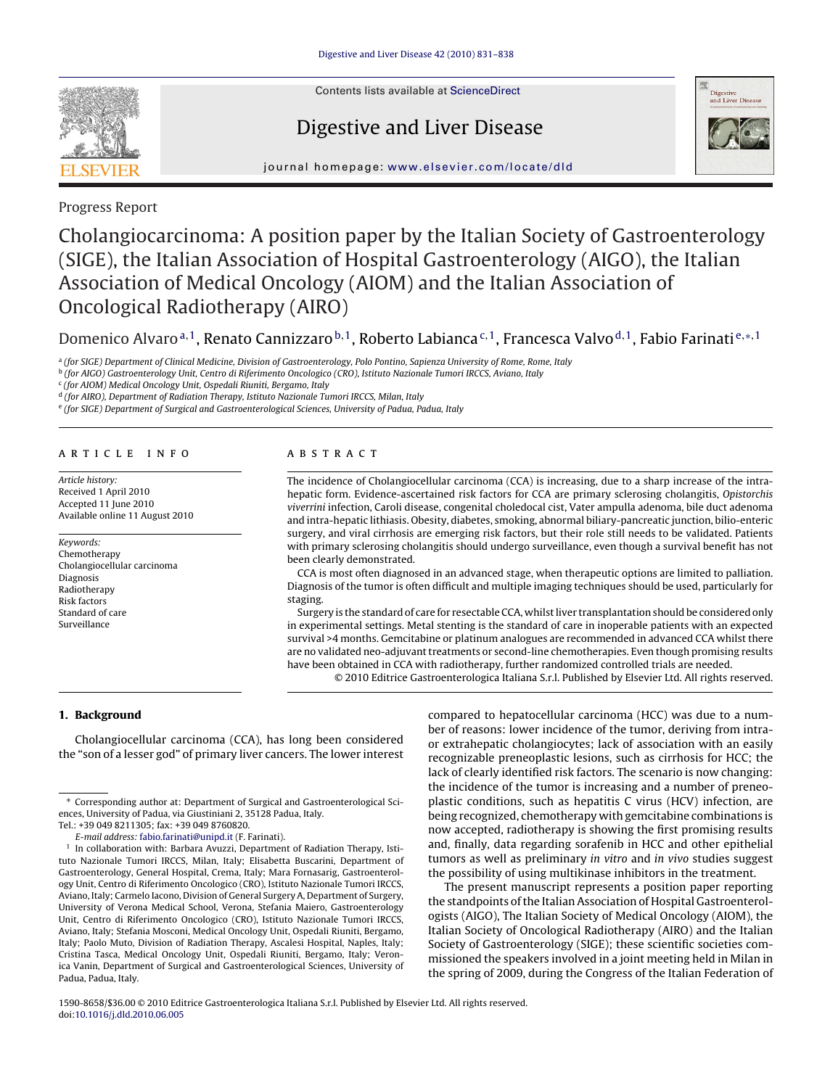

Contents lists available at [ScienceDirect](http://www.sciencedirect.com/science/journal/15908658)

## Digestive and Liver Disease



journal homepage: [www.elsevier.com/locate/dld](http://www.elsevier.com/locate/dld)

Progress Report

# Cholangiocarcinoma: A position paper by the Italian Society of Gastroenterology (SIGE), the Italian Association of Hospital Gastroenterology (AIGO), the Italian Association of Medical Oncology (AIOM) and the Italian Association of Oncological Radiotherapy (AIRO)

Domenico Alvaro<sup>a,1</sup>, Renato Cannizzaro<sup>b,1</sup>, Roberto Labianca<sup>c,1</sup>, Francesca Valvo<sup>d,1</sup>, Fabio Farinati<sup>e,</sup><sup>\*, 1</sup>

a (for SIGE) Department of Clinical Medicine, Division of Gastroenterology, Polo Pontino, Sapienza University of Rome, Rome, Italy

<sup>b</sup> (for AIGO) Gastroenterology Unit, Centro di Riferimento Oncologico (CRO), Istituto Nazionale Tumori IRCCS, Aviano, Italy

<sup>c</sup> (for AIOM) Medical Oncology Unit, Ospedali Riuniti, Bergamo, Italy

<sup>d</sup> (for AIRO), Department of Radiation Therapy, Istituto Nazionale Tumori IRCCS, Milan, Italy

<sup>e</sup> (for SIGE) Department of Surgical and Gastroenterological Sciences, University of Padua, Padua, Italy

#### article info

Article history: Received 1 April 2010 Accepted 11 June 2010 Available online 11 August 2010

Keywords: Chemotherapy Cholangiocellular carcinoma Diagnosis Radiotherapy Risk factors Standard of care Surveillance

## **ABSTRACT**

The incidence of Cholangiocellular carcinoma (CCA) is increasing, due to a sharp increase of the intrahepatic form. Evidence-ascertained risk factors for CCA are primary sclerosing cholangitis, Opistorchis viverrini infection, Caroli disease, congenital choledocal cist, Vater ampulla adenoma, bile duct adenoma and intra-hepatic lithiasis. Obesity, diabetes, smoking, abnormal biliary-pancreatic junction, bilio-enteric surgery, and viral cirrhosis are emerging risk factors, but their role still needs to be validated. Patients with primary sclerosing cholangitis should undergo surveillance, even though a survival benefit has not been clearly demonstrated.

CCA is most often diagnosed in an advanced stage, when therapeutic options are limited to palliation. Diagnosis of the tumor is often difficult and multiple imaging techniques should be used, particularly for staging.

Surgery is the standard of care for resectable CCA, whilst liver transplantation should be considered only in experimental settings. Metal stenting is the standard of care in inoperable patients with an expected survival >4 months. Gemcitabine or platinum analogues are recommended in advanced CCA whilst there are no validated neo-adjuvant treatments or second-line chemotherapies. Even though promising results have been obtained in CCA with radiotherapy, further randomized controlled trials are needed.

© 2010 Editrice Gastroenterologica Italiana S.r.l. Published by Elsevier Ltd. All rights reserved.

## **1. Background**

Cholangiocellular carcinoma (CCA), has long been considered the "son of a lesser god" of primary liver cancers. The lower interest compared to hepatocellular carcinoma (HCC) was due to a number of reasons: lower incidence of the tumor, deriving from intraor extrahepatic cholangiocytes; lack of association with an easily recognizable preneoplastic lesions, such as cirrhosis for HCC; the lack of clearly identified risk factors. The scenario is now changing: the incidence of the tumor is increasing and a number of preneoplastic conditions, such as hepatitis C virus (HCV) infection, are being recognized, chemotherapy with gemcitabine combinations is now accepted, radiotherapy is showing the first promising results and, finally, data regarding sorafenib in HCC and other epithelial tumors as well as preliminary in vitro and in vivo studies suggest the possibility of using multikinase inhibitors in the treatment.

The present manuscript represents a position paper reporting the standpoints of the Italian Association of Hospital Gastroenterologists (AIGO), The Italian Society of Medical Oncology (AIOM), the Italian Society of Oncological Radiotherapy (AIRO) and the Italian Society of Gastroenterology (SIGE); these scientific societies commissioned the speakers involved in a joint meeting held in Milan in the spring of 2009, during the Congress of the Italian Federation of

<sup>∗</sup> Corresponding author at: Department of Surgical and Gastroenterological Sciences, University of Padua, via Giustiniani 2, 35128 Padua, Italy.

Tel.: +39 049 8211305; fax: +39 049 8760820.

E-mail address: [fabio.farinati@unipd.it](mailto:fabio.farinati@unipd.it) (F. Farinati).

In collaboration with: Barbara Avuzzi, Department of Radiation Therapy, Istituto Nazionale Tumori IRCCS, Milan, Italy; Elisabetta Buscarini, Department of Gastroenterology, General Hospital, Crema, Italy; Mara Fornasarig, Gastroenterology Unit, Centro di Riferimento Oncologico (CRO), Istituto Nazionale Tumori IRCCS, Aviano, Italy; Carmelo Iacono, Division of General Surgery A, Department of Surgery, University of Verona Medical School, Verona, Stefania Maiero, Gastroenterology Unit, Centro di Riferimento Oncologico (CRO), Istituto Nazionale Tumori IRCCS, Aviano, Italy; Stefania Mosconi, Medical Oncology Unit, Ospedali Riuniti, Bergamo, Italy; Paolo Muto, Division of Radiation Therapy, Ascalesi Hospital, Naples, Italy; Cristina Tasca, Medical Oncology Unit, Ospedali Riuniti, Bergamo, Italy; Veronica Vanin, Department of Surgical and Gastroenterological Sciences, University of Padua, Padua, Italy.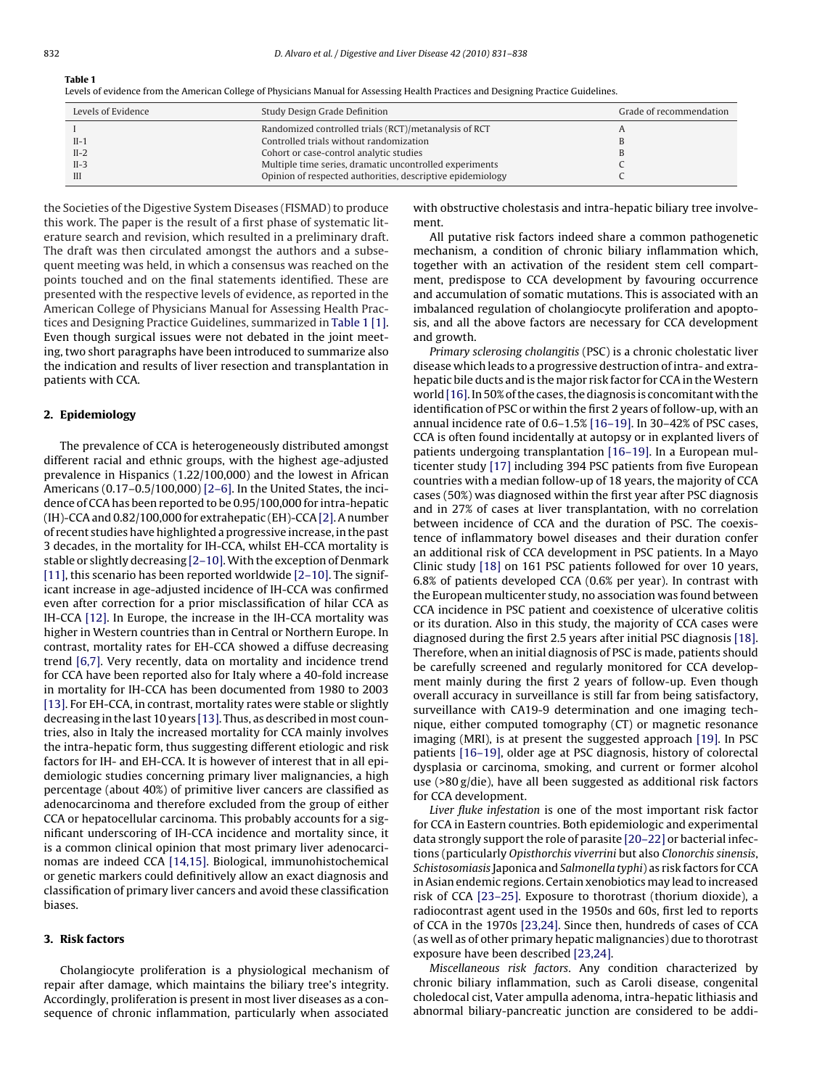## **Table 1**

Levels of evidence from the American College of Physicians Manual for Assessing Health Practices and Designing Practice Guidelines.

| Levels of Evidence | Study Design Grade Definition                              | Grade of recommendation |
|--------------------|------------------------------------------------------------|-------------------------|
|                    | Randomized controlled trials (RCT)/metanalysis of RCT      |                         |
| $II-1$             | Controlled trials without randomization                    |                         |
| $II-2$             | Cohort or case-control analytic studies                    |                         |
| $II-3$             | Multiple time series, dramatic uncontrolled experiments    |                         |
| III                | Opinion of respected authorities, descriptive epidemiology |                         |

the Societies of the Digestive System Diseases (FISMAD) to produce this work. The paper is the result of a first phase of systematic literature search and revision, which resulted in a preliminary draft. The draft was then circulated amongst the authors and a subsequent meeting was held, in which a consensus was reached on the points touched and on the final statements identified. These are presented with the respective levels of evidence, as reported in the American College of Physicians Manual for Assessing Health Practices and Designing Practice Guidelines, summarized in Table 1 [\[1\].](#page-5-0) Even though surgical issues were not debated in the joint meeting, two short paragraphs have been introduced to summarize also the indication and results of liver resection and transplantation in patients with CCA.

## **2. Epidemiology**

The prevalence of CCA is heterogeneously distributed amongst different racial and ethnic groups, with the highest age-adjusted prevalence in Hispanics (1.22/100,000) and the lowest in African Americans (0.17–0.5/100,000) [\[2–6\]. I](#page-5-0)n the United States, the incidence of CCA has been reported to be 0.95/100,000 for intra-hepatic (IH)-CCA and 0.82/100,000 for extrahepatic (EH)-CCA[\[2\]. A](#page-5-0) number of recent studies have highlighted a progressive increase, in the past 3 decades, in the mortality for IH-CCA, whilst EH-CCA mortality is stable or slightly decreasing [\[2–10\].W](#page-5-0)ith the exception of Denmark [\[11\], t](#page-6-0)his scenario has been reported worldwide [\[2–10\]. T](#page-5-0)he significant increase in age-adjusted incidence of IH-CCA was confirmed even after correction for a prior misclassification of hilar CCA as IH-CCA [\[12\]. I](#page-6-0)n Europe, the increase in the IH-CCA mortality was higher in Western countries than in Central or Northern Europe. In contrast, mortality rates for EH-CCA showed a diffuse decreasing trend [\[6,7\].](#page-6-0) Very recently, data on mortality and incidence trend for CCA have been reported also for Italy where a 40-fold increase in mortality for IH-CCA has been documented from 1980 to 2003 [\[13\]. F](#page-6-0)or EH-CCA, in contrast, mortality rates were stable or slightly decreasing in the last 10 years [\[13\]. T](#page-6-0)hus, as described in most countries, also in Italy the increased mortality for CCA mainly involves the intra-hepatic form, thus suggesting different etiologic and risk factors for IH- and EH-CCA. It is however of interest that in all epidemiologic studies concerning primary liver malignancies, a high percentage (about 40%) of primitive liver cancers are classified as adenocarcinoma and therefore excluded from the group of either CCA or hepatocellular carcinoma. This probably accounts for a significant underscoring of IH-CCA incidence and mortality since, it is a common clinical opinion that most primary liver adenocarcinomas are indeed CCA [\[14,15\].](#page-6-0) Biological, immunohistochemical or genetic markers could definitively allow an exact diagnosis and classification of primary liver cancers and avoid these classification biases.

## **3. Risk factors**

Cholangiocyte proliferation is a physiological mechanism of repair after damage, which maintains the biliary tree's integrity. Accordingly, proliferation is present in most liver diseases as a consequence of chronic inflammation, particularly when associated

with obstructive cholestasis and intra-hepatic biliary tree involvement.

All putative risk factors indeed share a common pathogenetic mechanism, a condition of chronic biliary inflammation which, together with an activation of the resident stem cell compartment, predispose to CCA development by favouring occurrence and accumulation of somatic mutations. This is associated with an imbalanced regulation of cholangiocyte proliferation and apoptosis, and all the above factors are necessary for CCA development and growth.

Primary sclerosing cholangitis (PSC) is a chronic cholestatic liver disease which leads to a progressive destruction of intra- and extrahepatic bile ducts and is the major risk factor for CCA in the Western world [\[16\]. I](#page-6-0)n 50% of the cases, the diagnosis is concomitant with the identification of PSC or within the first 2 years of follow-up, with an annual incidence rate of 0.6–1.5% [\[16–19\]. I](#page-6-0)n 30–42% of PSC cases, CCA is often found incidentally at autopsy or in explanted livers of patients undergoing transplantation [\[16–19\].](#page-6-0) In a European multicenter study [\[17\]](#page-6-0) including 394 PSC patients from five European countries with a median follow-up of 18 years, the majority of CCA cases (50%) was diagnosed within the first year after PSC diagnosis and in 27% of cases at liver transplantation, with no correlation between incidence of CCA and the duration of PSC. The coexistence of inflammatory bowel diseases and their duration confer an additional risk of CCA development in PSC patients. In a Mayo Clinic study [\[18\]](#page-6-0) on 161 PSC patients followed for over 10 years, 6.8% of patients developed CCA (0.6% per year). In contrast with the European multicenter study, no association was found between CCA incidence in PSC patient and coexistence of ulcerative colitis or its duration. Also in this study, the majority of CCA cases were diagnosed during the first 2.5 years after initial PSC diagnosis [\[18\].](#page-6-0) Therefore, when an initial diagnosis of PSC is made, patients should be carefully screened and regularly monitored for CCA development mainly during the first 2 years of follow-up. Even though overall accuracy in surveillance is still far from being satisfactory, surveillance with CA19-9 determination and one imaging technique, either computed tomography (CT) or magnetic resonance imaging (MRI), is at present the suggested approach [\[19\]. I](#page-6-0)n PSC patients [\[16–19\], o](#page-6-0)lder age at PSC diagnosis, history of colorectal dysplasia or carcinoma, smoking, and current or former alcohol use (>80 g/die), have all been suggested as additional risk factors for CCA development.

Liver fluke infestation is one of the most important risk factor for CCA in Eastern countries. Both epidemiologic and experimental data strongly support the role of parasite [\[20–22\]](#page-6-0) or bacterial infections (particularly Opisthorchis viverrini but also Clonorchis sinensis, Schistosomiasis Japonica and Salmonella typhi) as risk factors for CCA in Asian endemic regions. Certain xenobiotics may lead to increased risk of CCA [\[23–25\].](#page-6-0) Exposure to thorotrast (thorium dioxide), a radiocontrast agent used in the 1950s and 60s, first led to reports of CCA in the 1970s [\[23,24\]. S](#page-6-0)ince then, hundreds of cases of CCA (as well as of other primary hepatic malignancies) due to thorotrast exposure have been described [\[23,24\].](#page-6-0)

Miscellaneous risk factors. Any condition characterized by chronic biliary inflammation, such as Caroli disease, congenital choledocal cist, Vater ampulla adenoma, intra-hepatic lithiasis and abnormal biliary-pancreatic junction are considered to be addi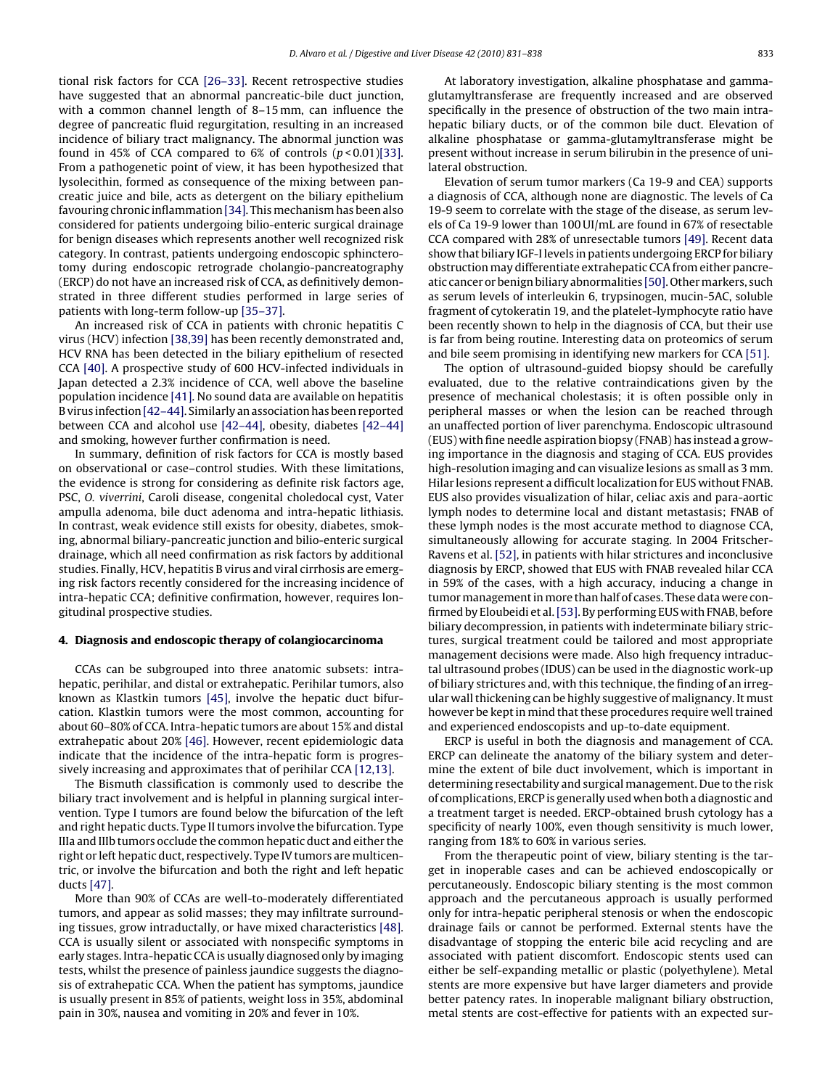tional risk factors for CCA [\[26–33\].](#page-6-0) Recent retrospective studies have suggested that an abnormal pancreatic-bile duct junction, with a common channel length of 8–15 mm, can influence the degree of pancreatic fluid regurgitation, resulting in an increased incidence of biliary tract malignancy. The abnormal junction was found in 45% of CCA compared to 6% of controls  $(p < 0.01)$ [\[33\].](#page-6-0) From a pathogenetic point of view, it has been hypothesized that lysolecithin, formed as consequence of the mixing between pancreatic juice and bile, acts as detergent on the biliary epithelium favouring chronic inflammation [\[34\]. T](#page-6-0)his mechanism has been also considered for patients undergoing bilio-enteric surgical drainage for benign diseases which represents another well recognized risk category. In contrast, patients undergoing endoscopic sphincterotomy during endoscopic retrograde cholangio-pancreatography (ERCP) do not have an increased risk of CCA, as definitively demonstrated in three different studies performed in large series of patients with long-term follow-up [\[35–37\].](#page-6-0)

An increased risk of CCA in patients with chronic hepatitis C virus (HCV) infection [\[38,39\]](#page-6-0) has been recently demonstrated and, HCV RNA has been detected in the biliary epithelium of resected CCA [\[40\].](#page-6-0) A prospective study of 600 HCV-infected individuals in Japan detected a 2.3% incidence of CCA, well above the baseline population incidence [\[41\]. N](#page-6-0)o sound data are available on hepatitis B virus infection[\[42–44\]. S](#page-6-0)imilarly an association has been reported between CCA and alcohol use [\[42–44\], o](#page-6-0)besity, diabetes [\[42–44\]](#page-6-0) and smoking, however further confirmation is need.

In summary, definition of risk factors for CCA is mostly based on observational or case–control studies. With these limitations, the evidence is strong for considering as definite risk factors age, PSC, O. viverrini, Caroli disease, congenital choledocal cyst, Vater ampulla adenoma, bile duct adenoma and intra-hepatic lithiasis. In contrast, weak evidence still exists for obesity, diabetes, smoking, abnormal biliary-pancreatic junction and bilio-enteric surgical drainage, which all need confirmation as risk factors by additional studies. Finally, HCV, hepatitis B virus and viral cirrhosis are emerging risk factors recently considered for the increasing incidence of intra-hepatic CCA; definitive confirmation, however, requires longitudinal prospective studies.

#### **4. Diagnosis and endoscopic therapy of colangiocarcinoma**

CCAs can be subgrouped into three anatomic subsets: intrahepatic, perihilar, and distal or extrahepatic. Perihilar tumors, also known as Klastkin tumors [\[45\],](#page-6-0) involve the hepatic duct bifurcation. Klastkin tumors were the most common, accounting for about 60–80% of CCA. Intra-hepatic tumors are about 15% and distal extrahepatic about 20% [\[46\]. H](#page-6-0)owever, recent epidemiologic data indicate that the incidence of the intra-hepatic form is progressively increasing and approximates that of perihilar CCA [\[12,13\].](#page-6-0)

The Bismuth classification is commonly used to describe the biliary tract involvement and is helpful in planning surgical intervention. Type I tumors are found below the bifurcation of the left and right hepatic ducts. Type II tumors involve the bifurcation. Type IIIa and IIIb tumors occlude the common hepatic duct and either the right or left hepatic duct, respectively. Type IV tumors are multicentric, or involve the bifurcation and both the right and left hepatic ducts [\[47\].](#page-6-0)

More than 90% of CCAs are well-to-moderately differentiated tumors, and appear as solid masses; they may infiltrate surrounding tissues, grow intraductally, or have mixed characteristics [\[48\].](#page-6-0) CCA is usually silent or associated with nonspecific symptoms in early stages. Intra-hepatic CCA is usually diagnosed only by imaging tests, whilst the presence of painless jaundice suggests the diagnosis of extrahepatic CCA. When the patient has symptoms, jaundice is usually present in 85% of patients, weight loss in 35%, abdominal pain in 30%, nausea and vomiting in 20% and fever in 10%.

At laboratory investigation, alkaline phosphatase and gammaglutamyltransferase are frequently increased and are observed specifically in the presence of obstruction of the two main intrahepatic biliary ducts, or of the common bile duct. Elevation of alkaline phosphatase or gamma-glutamyltransferase might be present without increase in serum bilirubin in the presence of unilateral obstruction.

Elevation of serum tumor markers (Ca 19-9 and CEA) supports a diagnosis of CCA, although none are diagnostic. The levels of Ca 19-9 seem to correlate with the stage of the disease, as serum levels of Ca 19-9 lower than 100 UI/mL are found in 67% of resectable CCA compared with 28% of unresectable tumors [\[49\]. R](#page-6-0)ecent data show that biliary IGF-I levels in patients undergoing ERCP for biliary obstruction may differentiate extrahepatic CCA from either pancre-atic cancer or benign biliary abnormalities [\[50\]. O](#page-6-0)ther markers, such as serum levels of interleukin 6, trypsinogen, mucin-5AC, soluble fragment of cytokeratin 19, and the platelet-lymphocyte ratio have been recently shown to help in the diagnosis of CCA, but their use is far from being routine. Interesting data on proteomics of serum and bile seem promising in identifying new markers for CCA [\[51\].](#page-6-0)

The option of ultrasound-guided biopsy should be carefully evaluated, due to the relative contraindications given by the presence of mechanical cholestasis; it is often possible only in peripheral masses or when the lesion can be reached through an unaffected portion of liver parenchyma. Endoscopic ultrasound (EUS) with fine needle aspiration biopsy (FNAB) has instead a growing importance in the diagnosis and staging of CCA. EUS provides high-resolution imaging and can visualize lesions as small as 3 mm. Hilar lesions represent a difficult localization for EUS without FNAB. EUS also provides visualization of hilar, celiac axis and para-aortic lymph nodes to determine local and distant metastasis; FNAB of these lymph nodes is the most accurate method to diagnose CCA, simultaneously allowing for accurate staging. In 2004 Fritscher-Ravens et al. [\[52\], i](#page-6-0)n patients with hilar strictures and inconclusive diagnosis by ERCP, showed that EUS with FNAB revealed hilar CCA in 59% of the cases, with a high accuracy, inducing a change in tumor management in more than half of cases. These data were confirmed by Eloubeidi et al.[\[53\]. B](#page-6-0)y performing EUS with FNAB, before biliary decompression, in patients with indeterminate biliary strictures, surgical treatment could be tailored and most appropriate management decisions were made. Also high frequency intraductal ultrasound probes (IDUS) can be used in the diagnostic work-up of biliary strictures and, with this technique, the finding of an irregular wall thickening can be highly suggestive of malignancy. It must however be kept in mind that these procedures require well trained and experienced endoscopists and up-to-date equipment.

ERCP is useful in both the diagnosis and management of CCA. ERCP can delineate the anatomy of the biliary system and determine the extent of bile duct involvement, which is important in determining resectability and surgical management. Due to the risk of complications, ERCP is generally used when both a diagnostic and a treatment target is needed. ERCP-obtained brush cytology has a specificity of nearly 100%, even though sensitivity is much lower, ranging from 18% to 60% in various series.

From the therapeutic point of view, biliary stenting is the target in inoperable cases and can be achieved endoscopically or percutaneously. Endoscopic biliary stenting is the most common approach and the percutaneous approach is usually performed only for intra-hepatic peripheral stenosis or when the endoscopic drainage fails or cannot be performed. External stents have the disadvantage of stopping the enteric bile acid recycling and are associated with patient discomfort. Endoscopic stents used can either be self-expanding metallic or plastic (polyethylene). Metal stents are more expensive but have larger diameters and provide better patency rates. In inoperable malignant biliary obstruction, metal stents are cost-effective for patients with an expected sur-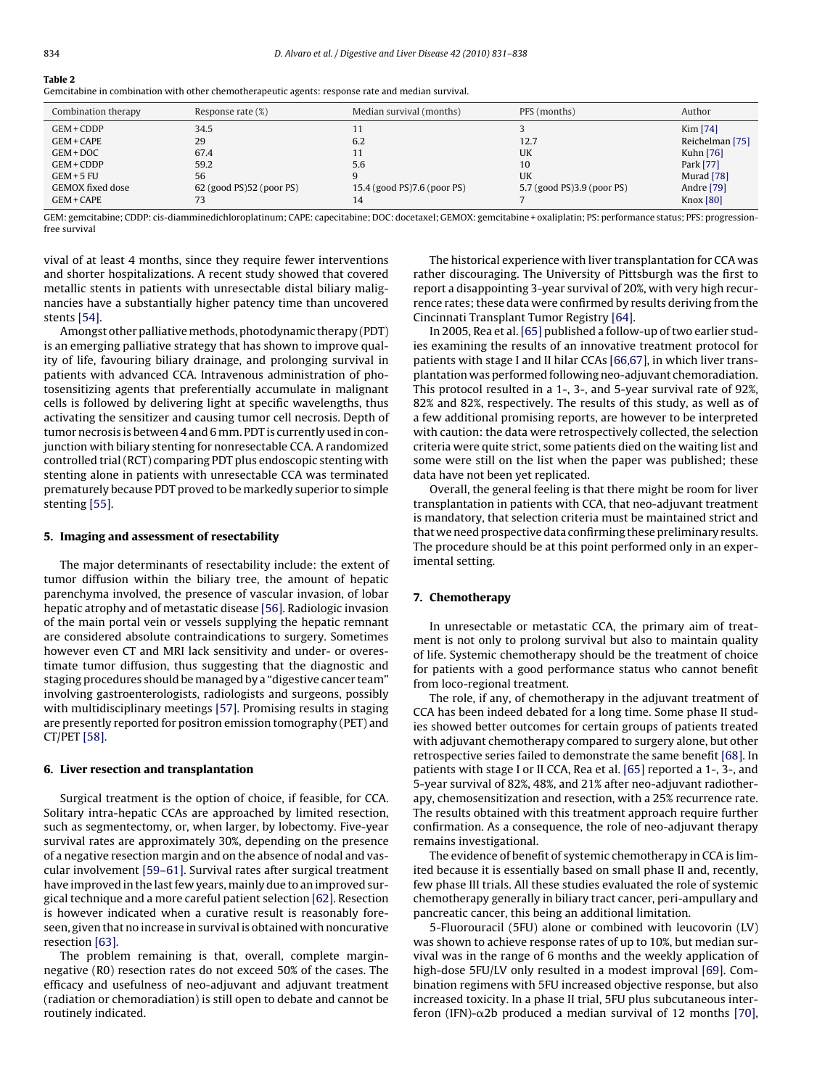<span id="page-3-0"></span>

| Gemcitabine in combination with other chemotherapeutic agents: response rate and median survival. |  |  |
|---------------------------------------------------------------------------------------------------|--|--|
|                                                                                                   |  |  |

| Combination therapy                                                                                            | Response rate (%)                                                       | Median survival (months)                        | PFS (months)                                         | Author                                                                                                |
|----------------------------------------------------------------------------------------------------------------|-------------------------------------------------------------------------|-------------------------------------------------|------------------------------------------------------|-------------------------------------------------------------------------------------------------------|
| GEM + CDDP<br>$GEM + CAPE$<br>GEM + DOC<br>GEM + CDDP<br>$GEM + 5 FU$<br><b>GEMOX</b> fixed dose<br>GEM + CAPE | 34.5<br>29<br>67.4<br>59.2<br>56<br>$62$ (good PS) $52$ (poor PS)<br>73 | 6.2<br>5.6<br>15.4 (good PS)7.6 (poor PS)<br>14 | 12.7<br>UK<br>10<br>UK<br>5.7 (good PS)3.9 (poor PS) | Kim [74]<br>Reichelman [75]<br>Kuhn [76]<br>Park [77]<br>Murad [78]<br>Andre [79]<br><b>Knox</b> [80] |

GEM: gemcitabine; CDDP: cis-diamminedichloroplatinum; CAPE: capecitabine; DOC: docetaxel; GEMOX: gemcitabine + oxaliplatin; PS: performance status; PFS: progressionfree survival

vival of at least 4 months, since they require fewer interventions and shorter hospitalizations. A recent study showed that covered metallic stents in patients with unresectable distal biliary malignancies have a substantially higher patency time than uncovered stents [\[54\].](#page-6-0)

Amongst other palliative methods, photodynamic therapy (PDT) is an emerging palliative strategy that has shown to improve quality of life, favouring biliary drainage, and prolonging survival in patients with advanced CCA. Intravenous administration of photosensitizing agents that preferentially accumulate in malignant cells is followed by delivering light at specific wavelengths, thus activating the sensitizer and causing tumor cell necrosis. Depth of tumor necrosis is between 4 and 6 mm. PDT is currently used in conjunction with biliary stenting for nonresectable CCA. A randomized controlled trial (RCT) comparing PDT plus endoscopic stenting with stenting alone in patients with unresectable CCA was terminated prematurely because PDT proved to be markedly superior to simple stenting [\[55\].](#page-6-0)

#### **5. Imaging and assessment of resectability**

The major determinants of resectability include: the extent of tumor diffusion within the biliary tree, the amount of hepatic parenchyma involved, the presence of vascular invasion, of lobar hepatic atrophy and of metastatic disease [\[56\]. R](#page-6-0)adiologic invasion of the main portal vein or vessels supplying the hepatic remnant are considered absolute contraindications to surgery. Sometimes however even CT and MRI lack sensitivity and under- or overestimate tumor diffusion, thus suggesting that the diagnostic and staging procedures should be managed by a "digestive cancer team" involving gastroenterologists, radiologists and surgeons, possibly with multidisciplinary meetings [\[57\]. P](#page-6-0)romising results in staging are presently reported for positron emission tomography (PET) and CT/PET [\[58\].](#page-6-0)

## **6. Liver resection and transplantation**

Surgical treatment is the option of choice, if feasible, for CCA. Solitary intra-hepatic CCAs are approached by limited resection, such as segmentectomy, or, when larger, by lobectomy. Five-year survival rates are approximately 30%, depending on the presence of a negative resection margin and on the absence of nodal and vascular involvement [\[59–61\]. S](#page-6-0)urvival rates after surgical treatment have improved in the last few years, mainly due to an improved surgical technique and a more careful patient selection [\[62\]. R](#page-7-0)esection is however indicated when a curative result is reasonably foreseen, given that no increase in survival is obtained with noncurative resection [\[63\].](#page-7-0)

The problem remaining is that, overall, complete marginnegative (R0) resection rates do not exceed 50% of the cases. The efficacy and usefulness of neo-adjuvant and adjuvant treatment (radiation or chemoradiation) is still open to debate and cannot be routinely indicated.

The historical experience with liver transplantation for CCA was rather discouraging. The University of Pittsburgh was the first to report a disappointing 3-year survival of 20%, with very high recurrence rates; these data were confirmed by results deriving from the Cincinnati Transplant Tumor Registry [\[64\].](#page-7-0)

In 2005, Rea et al. [\[65\]](#page-7-0) published a follow-up of two earlier studies examining the results of an innovative treatment protocol for patients with stage I and II hilar CCAs [\[66,67\], i](#page-7-0)n which liver transplantation was performed following neo-adjuvant chemoradiation. This protocol resulted in a 1-, 3-, and 5-year survival rate of 92%, 82% and 82%, respectively. The results of this study, as well as of a few additional promising reports, are however to be interpreted with caution: the data were retrospectively collected, the selection criteria were quite strict, some patients died on the waiting list and some were still on the list when the paper was published; these data have not been yet replicated.

Overall, the general feeling is that there might be room for liver transplantation in patients with CCA, that neo-adjuvant treatment is mandatory, that selection criteria must be maintained strict and that we need prospective data confirming these preliminary results. The procedure should be at this point performed only in an experimental setting.

#### **7. Chemotherapy**

In unresectable or metastatic CCA, the primary aim of treatment is not only to prolong survival but also to maintain quality of life. Systemic chemotherapy should be the treatment of choice for patients with a good performance status who cannot benefit from loco-regional treatment.

The role, if any, of chemotherapy in the adjuvant treatment of CCA has been indeed debated for a long time. Some phase II studies showed better outcomes for certain groups of patients treated with adjuvant chemotherapy compared to surgery alone, but other retrospective series failed to demonstrate the same benefit [\[68\]. I](#page-7-0)n patients with stage I or II CCA, Rea et al. [\[65\]](#page-7-0) reported a 1-, 3-, and 5-year survival of 82%, 48%, and 21% after neo-adjuvant radiotherapy, chemosensitization and resection, with a 25% recurrence rate. The results obtained with this treatment approach require further confirmation. As a consequence, the role of neo-adjuvant therapy remains investigational.

The evidence of benefit of systemic chemotherapy in CCA is limited because it is essentially based on small phase II and, recently, few phase III trials. All these studies evaluated the role of systemic chemotherapy generally in biliary tract cancer, peri-ampullary and pancreatic cancer, this being an additional limitation.

5-Fluorouracil (5FU) alone or combined with leucovorin (LV) was shown to achieve response rates of up to 10%, but median survival was in the range of 6 months and the weekly application of high-dose 5FU/LV only resulted in a modest improval [\[69\].](#page-7-0) Combination regimens with 5FU increased objective response, but also increased toxicity. In a phase II trial, 5FU plus subcutaneous interferon (IFN)- $\alpha$ 2b produced a median survival of 12 months [\[70\],](#page-7-0)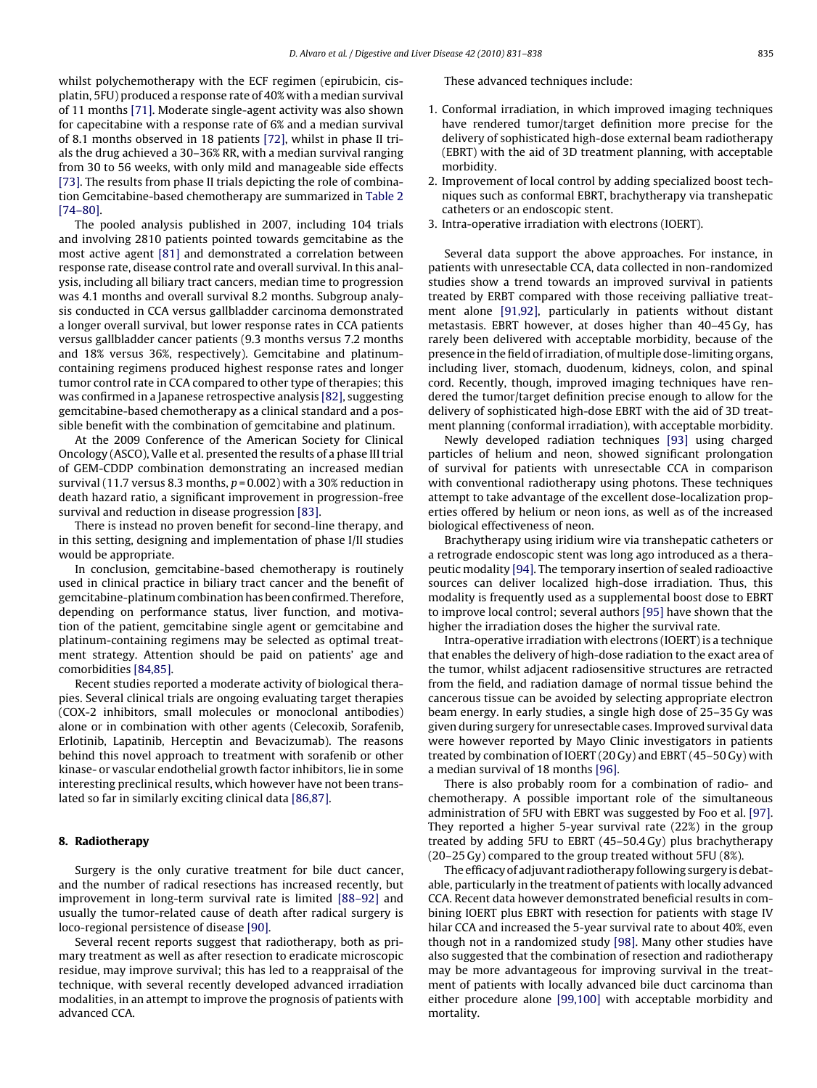whilst polychemotherapy with the ECF regimen (epirubicin, cisplatin, 5FU) produced a response rate of 40% with a median survival of 11 months [\[71\]. M](#page-7-0)oderate single-agent activity was also shown for capecitabine with a response rate of 6% and a median survival of 8.1 months observed in 18 patients [\[72\], w](#page-7-0)hilst in phase II trials the drug achieved a 30–36% RR, with a median survival ranging from 30 to 56 weeks, with only mild and manageable side effects [\[73\]. T](#page-7-0)he results from phase II trials depicting the role of combination Gemcitabine-based chemotherapy are summarized in [Table 2](#page-3-0) [\[74–80\].](#page-7-0)

The pooled analysis published in 2007, including 104 trials and involving 2810 patients pointed towards gemcitabine as the most active agent [\[81\]](#page-7-0) and demonstrated a correlation between response rate, disease control rate and overall survival. In this analysis, including all biliary tract cancers, median time to progression was 4.1 months and overall survival 8.2 months. Subgroup analysis conducted in CCA versus gallbladder carcinoma demonstrated a longer overall survival, but lower response rates in CCA patients versus gallbladder cancer patients (9.3 months versus 7.2 months and 18% versus 36%, respectively). Gemcitabine and platinumcontaining regimens produced highest response rates and longer tumor control rate in CCA compared to other type of therapies; this was confirmed in a Japanese retrospective analysis [\[82\], s](#page-7-0)uggesting gemcitabine-based chemotherapy as a clinical standard and a possible benefit with the combination of gemcitabine and platinum.

At the 2009 Conference of the American Society for Clinical Oncology (ASCO), Valle et al. presented the results of a phase III trial of GEM-CDDP combination demonstrating an increased median survival (11.7 versus 8.3 months,  $p = 0.002$ ) with a 30% reduction in death hazard ratio, a significant improvement in progression-free survival and reduction in disease progression [\[83\].](#page-7-0)

There is instead no proven benefit for second-line therapy, and in this setting, designing and implementation of phase I/II studies would be appropriate.

In conclusion, gemcitabine-based chemotherapy is routinely used in clinical practice in biliary tract cancer and the benefit of gemcitabine-platinum combination has been confirmed. Therefore, depending on performance status, liver function, and motivation of the patient, gemcitabine single agent or gemcitabine and platinum-containing regimens may be selected as optimal treatment strategy. Attention should be paid on patients' age and comorbidities [\[84,85\].](#page-7-0)

Recent studies reported a moderate activity of biological therapies. Several clinical trials are ongoing evaluating target therapies (COX-2 inhibitors, small molecules or monoclonal antibodies) alone or in combination with other agents (Celecoxib, Sorafenib, Erlotinib, Lapatinib, Herceptin and Bevacizumab). The reasons behind this novel approach to treatment with sorafenib or other kinase- or vascular endothelial growth factor inhibitors, lie in some interesting preclinical results, which however have not been translated so far in similarly exciting clinical data [\[86,87\].](#page-7-0)

### **8. Radiotherapy**

Surgery is the only curative treatment for bile duct cancer, and the number of radical resections has increased recently, but improvement in long-term survival rate is limited [\[88–92\]](#page-7-0) and usually the tumor-related cause of death after radical surgery is loco-regional persistence of disease [\[90\].](#page-7-0)

Several recent reports suggest that radiotherapy, both as primary treatment as well as after resection to eradicate microscopic residue, may improve survival; this has led to a reappraisal of the technique, with several recently developed advanced irradiation modalities, in an attempt to improve the prognosis of patients with advanced CCA.

These advanced techniques include:

- 1. Conformal irradiation, in which improved imaging techniques have rendered tumor/target definition more precise for the delivery of sophisticated high-dose external beam radiotherapy (EBRT) with the aid of 3D treatment planning, with acceptable morbidity.
- 2. Improvement of local control by adding specialized boost techniques such as conformal EBRT, brachytherapy via transhepatic catheters or an endoscopic stent.
- 3. Intra-operative irradiation with electrons (IOERT).

Several data support the above approaches. For instance, in patients with unresectable CCA, data collected in non-randomized studies show a trend towards an improved survival in patients treated by ERBT compared with those receiving palliative treatment alone [\[91,92\],](#page-7-0) particularly in patients without distant metastasis. EBRT however, at doses higher than 40–45 Gy, has rarely been delivered with acceptable morbidity, because of the presence in the field of irradiation, of multiple dose-limiting organs, including liver, stomach, duodenum, kidneys, colon, and spinal cord. Recently, though, improved imaging techniques have rendered the tumor/target definition precise enough to allow for the delivery of sophisticated high-dose EBRT with the aid of 3D treatment planning (conformal irradiation), with acceptable morbidity.

Newly developed radiation techniques [\[93\]](#page-7-0) using charged particles of helium and neon, showed significant prolongation of survival for patients with unresectable CCA in comparison with conventional radiotherapy using photons. These techniques attempt to take advantage of the excellent dose-localization properties offered by helium or neon ions, as well as of the increased biological effectiveness of neon.

Brachytherapy using iridium wire via transhepatic catheters or a retrograde endoscopic stent was long ago introduced as a therapeutic modality [\[94\]. T](#page-7-0)he temporary insertion of sealed radioactive sources can deliver localized high-dose irradiation. Thus, this modality is frequently used as a supplemental boost dose to EBRT to improve local control; several authors [\[95\]](#page-7-0) have shown that the higher the irradiation doses the higher the survival rate.

Intra-operative irradiation with electrons (IOERT) is a technique that enables the delivery of high-dose radiation to the exact area of the tumor, whilst adjacent radiosensitive structures are retracted from the field, and radiation damage of normal tissue behind the cancerous tissue can be avoided by selecting appropriate electron beam energy. In early studies, a single high dose of 25–35 Gy was given during surgery for unresectable cases. Improved survival data were however reported by Mayo Clinic investigators in patients treated by combination of IOERT (20 Gy) and EBRT (45–50 Gy) with a median survival of 18 months [\[96\].](#page-7-0)

There is also probably room for a combination of radio- and chemotherapy. A possible important role of the simultaneous administration of 5FU with EBRT was suggested by Foo et al. [\[97\].](#page-7-0) They reported a higher 5-year survival rate (22%) in the group treated by adding 5FU to EBRT (45–50.4 Gy) plus brachytherapy (20–25 Gy) compared to the group treated without 5FU (8%).

The efficacy of adjuvant radiotherapy following surgery is debatable, particularly in the treatment of patients with locally advanced CCA. Recent data however demonstrated beneficial results in combining IOERT plus EBRT with resection for patients with stage IV hilar CCA and increased the 5-year survival rate to about 40%, even though not in a randomized study [\[98\]. M](#page-7-0)any other studies have also suggested that the combination of resection and radiotherapy may be more advantageous for improving survival in the treatment of patients with locally advanced bile duct carcinoma than either procedure alone [\[99,100\]](#page-7-0) with acceptable morbidity and mortality.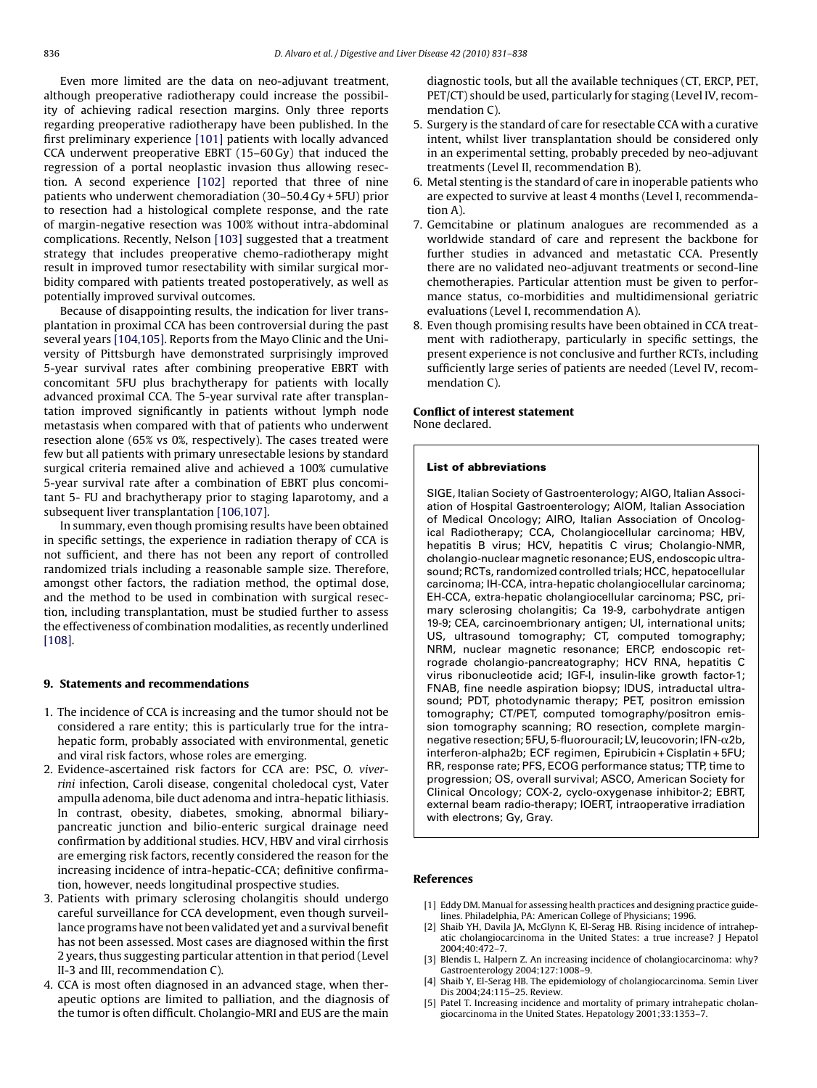<span id="page-5-0"></span>Even more limited are the data on neo-adjuvant treatment, although preoperative radiotherapy could increase the possibility of achieving radical resection margins. Only three reports regarding preoperative radiotherapy have been published. In the first preliminary experience [\[101\]](#page-7-0) patients with locally advanced CCA underwent preoperative EBRT (15–60 Gy) that induced the regression of a portal neoplastic invasion thus allowing resection. A second experience [\[102\]](#page-7-0) reported that three of nine patients who underwent chemoradiation (30–50.4 Gy + 5FU) prior to resection had a histological complete response, and the rate of margin-negative resection was 100% without intra-abdominal complications. Recently, Nelson [\[103\]](#page-7-0) suggested that a treatment strategy that includes preoperative chemo-radiotherapy might result in improved tumor resectability with similar surgical morbidity compared with patients treated postoperatively, as well as potentially improved survival outcomes.

Because of disappointing results, the indication for liver transplantation in proximal CCA has been controversial during the past several years [\[104,105\]. R](#page-7-0)eports from the Mayo Clinic and the University of Pittsburgh have demonstrated surprisingly improved 5-year survival rates after combining preoperative EBRT with concomitant 5FU plus brachytherapy for patients with locally advanced proximal CCA. The 5-year survival rate after transplantation improved significantly in patients without lymph node metastasis when compared with that of patients who underwent resection alone (65% vs 0%, respectively). The cases treated were few but all patients with primary unresectable lesions by standard surgical criteria remained alive and achieved a 100% cumulative 5-year survival rate after a combination of EBRT plus concomitant 5- FU and brachytherapy prior to staging laparotomy, and a subsequent liver transplantation [\[106,107\].](#page-7-0)

In summary, even though promising results have been obtained in specific settings, the experience in radiation therapy of CCA is not sufficient, and there has not been any report of controlled randomized trials including a reasonable sample size. Therefore, amongst other factors, the radiation method, the optimal dose, and the method to be used in combination with surgical resection, including transplantation, must be studied further to assess the effectiveness of combination modalities, as recently underlined [\[108\].](#page-7-0)

#### **9. Statements and recommendations**

- 1. The incidence of CCA is increasing and the tumor should not be considered a rare entity; this is particularly true for the intrahepatic form, probably associated with environmental, genetic and viral risk factors, whose roles are emerging.
- 2. Evidence-ascertained risk factors for CCA are: PSC, O. viverrini infection, Caroli disease, congenital choledocal cyst, Vater ampulla adenoma, bile duct adenoma and intra-hepatic lithiasis. In contrast, obesity, diabetes, smoking, abnormal biliarypancreatic junction and bilio-enteric surgical drainage need confirmation by additional studies. HCV, HBV and viral cirrhosis are emerging risk factors, recently considered the reason for the increasing incidence of intra-hepatic-CCA; definitive confirmation, however, needs longitudinal prospective studies.
- 3. Patients with primary sclerosing cholangitis should undergo careful surveillance for CCA development, even though surveillance programs have not been validated yet and a survival benefit has not been assessed. Most cases are diagnosed within the first 2 years, thus suggesting particular attention in that period (Level II-3 and III, recommendation C).
- 4. CCA is most often diagnosed in an advanced stage, when therapeutic options are limited to palliation, and the diagnosis of the tumor is often difficult. Cholangio-MRI and EUS are the main

diagnostic tools, but all the available techniques (CT, ERCP, PET, PET/CT) should be used, particularly for staging (Level IV, recommendation C).

- 5. Surgery is the standard of care for resectable CCA with a curative intent, whilst liver transplantation should be considered only in an experimental setting, probably preceded by neo-adjuvant treatments (Level II, recommendation B).
- 6. Metal stenting is the standard of care in inoperable patients who are expected to survive at least 4 months (Level I, recommendation A).
- 7. Gemcitabine or platinum analogues are recommended as a worldwide standard of care and represent the backbone for further studies in advanced and metastatic CCA. Presently there are no validated neo-adjuvant treatments or second-line chemotherapies. Particular attention must be given to performance status, co-morbidities and multidimensional geriatric evaluations (Level I, recommendation A).
- 8. Even though promising results have been obtained in CCA treatment with radiotherapy, particularly in specific settings, the present experience is not conclusive and further RCTs, including sufficiently large series of patients are needed (Level IV, recommendation C).

#### **Conflict of interest statement** None declared.

#### **List of abbreviations**

SIGE, Italian Society of Gastroenterology; AIGO, Italian Association of Hospital Gastroenterology; AIOM, Italian Association of Medical Oncology; AIRO, Italian Association of Oncological Radiotherapy; CCA, Cholangiocellular carcinoma; HBV, hepatitis B virus; HCV, hepatitis C virus; Cholangio-NMR, cholangio-nuclear magnetic resonance; EUS, endoscopic ultrasound; RCTs, randomized controlled trials; HCC, hepatocellular carcinoma; IH-CCA, intra-hepatic cholangiocellular carcinoma; EH-CCA, extra-hepatic cholangiocellular carcinoma; PSC, primary sclerosing cholangitis; Ca 19-9, carbohydrate antigen 19-9; CEA, carcinoembrionary antigen; UI, international units; US, ultrasound tomography; CT, computed tomography; NRM, nuclear magnetic resonance; ERCP, endoscopic retrograde cholangio-pancreatography; HCV RNA, hepatitis C virus ribonucleotide acid; IGF-I, insulin-like growth factor-1; FNAB, fine needle aspiration biopsy; IDUS, intraductal ultrasound; PDT, photodynamic therapy; PET, positron emission tomography; CT/PET, computed tomography/positron emission tomography scanning; RO resection, complete marginnegative resection; 5FU, 5-fluorouracil; LV, leucovorin; IFN-α2b, interferon-alpha2b; ECF regimen, Epirubicin + Cisplatin + 5FU; RR, response rate; PFS, ECOG performance status; TTP, time to progression; OS, overall survival; ASCO, American Society for Clinical Oncology; COX-2, cyclo-oxygenase inhibitor-2; EBRT, external beam radio-therapy; IOERT, intraoperative irradiation with electrons; Gy, Gray.

#### **References**

- [1] Eddy DM. Manual for assessing health practices and designing practice guidelines. Philadelphia, PA: American College of Physicians; 1996.
- [2] Shaib YH, Davila JA, McGlynn K, El-Serag HB. Rising incidence of intrahepatic cholangiocarcinoma in the United States: a true increase? J Hepatol 2004;40:472–7.
- [3] Blendis L, Halpern Z. An increasing incidence of cholangiocarcinoma: why? Gastroenterology 2004;127:1008–9.
- [4] Shaib Y, El-Serag HB. The epidemiology of cholangiocarcinoma. Semin Liver Dis 2004;24:115–25. Review.
- [5] Patel T. Increasing incidence and mortality of primary intrahepatic cholangiocarcinoma in the United States. Hepatology 2001;33:1353–7.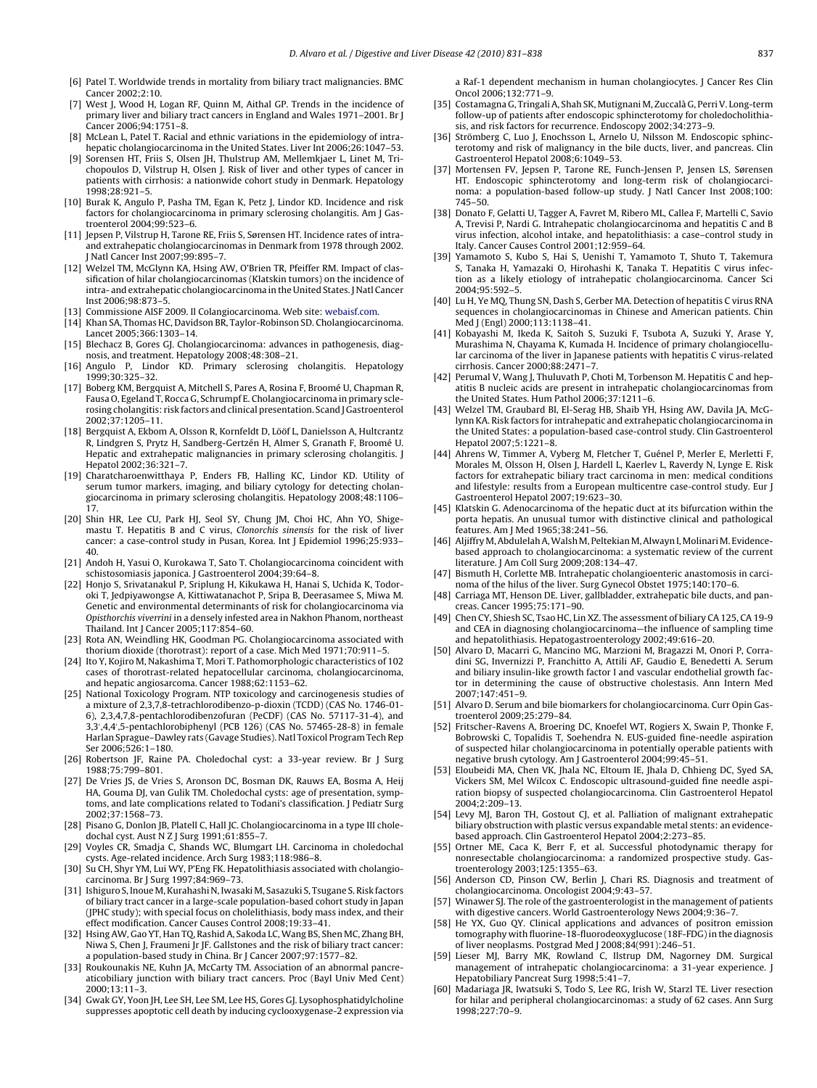- <span id="page-6-0"></span>[6] Patel T. Worldwide trends in mortality from biliary tract malignancies. BMC Cancer 2002;2:10.
- [7] West J, Wood H, Logan RF, Quinn M, Aithal GP. Trends in the incidence of primary liver and biliary tract cancers in England and Wales 1971–2001. Br J Cancer 2006;94:1751–8.
- [8] McLean L, Patel T. Racial and ethnic variations in the epidemiology of intrahepatic cholangiocarcinoma in the United States. Liver Int 2006;26:1047-53.
- [9] Sorensen HT, Friis S, Olsen JH, Thulstrup AM, Mellemkjaer L, Linet M, Trichopoulos D, Vilstrup H, Olsen J. Risk of liver and other types of cancer in patients with cirrhosis: a nationwide cohort study in Denmark. Hepatology 1998;28:921–5.
- [10] Burak K, Angulo P, Pasha TM, Egan K, Petz J, Lindor KD. Incidence and risk factors for cholangiocarcinoma in primary sclerosing cholangitis. Am J Gastroenterol 2004;99:523–6.
- [11] Jepsen P, Vilstrup H, Tarone RE, Friis S, Sørensen HT. Incidence rates of intraand extrahepatic cholangiocarcinomas in Denmark from 1978 through 2002. J Natl Cancer Inst 2007;99:895–7.
- [12] Welzel TM, McGlynn KA, Hsing AW, O'Brien TR, Pfeiffer RM. Impact of classification of hilar cholangiocarcinomas (Klatskin tumors) on the incidence of intra- and extrahepatic cholangiocarcinoma in the United States. J Natl Cancer Inst 2006;98:873–5.
- [13] Commissione AISF 2009. Il Colangiocarcinoma. Web site: [webaisf.com](http://www.webaisf.com/).
- [14] Khan SA, Thomas HC, Davidson BR, Taylor-Robinson SD. Cholangiocarcinoma. Lancet 2005;366:1303–14.
- [15] Blechacz B, Gores GJ. Cholangiocarcinoma: advances in pathogenesis, diagnosis, and treatment. Hepatology 2008;48:308–21.
- [16] Angulo P, Lindor KD. Primary sclerosing cholangitis. Hepatology 1999;30:325–32.
- [17] Boberg KM, Bergquist A, Mitchell S, Pares A, Rosina F, Broomé U, Chapman R, Fausa O, Egeland T, Rocca G, Schrumpf E. Cholangiocarcinoma in primary sclerosing cholangitis: risk factors and clinical presentation. Scand J Gastroenterol 2002;37:1205–11.
- [18] Bergquist A, Ekbom A, Olsson R, Kornfeldt D, Lööf L, Danielsson A, Hultcrantz R, Lindgren S, Prytz H, Sandberg-Gertzén H, Almer S, Granath F, Broomé U. Hepatic and extrahepatic malignancies in primary sclerosing cholangitis. J Hepatol 2002;36:321–7.
- [19] Charatcharoenwitthaya P, Enders FB, Halling KC, Lindor KD, Utility of serum tumor markers, imaging, and biliary cytology for detecting cholangiocarcinoma in primary sclerosing cholangitis. Hepatology 2008;48:1106– 17.
- [20] Shin HR, Lee CU, Park HJ, Seol SY, Chung JM, Choi HC, Ahn YO, Shigemastu T. Hepatitis B and C virus, Clonorchis sinensis for the risk of liver cancer: a case-control study in Pusan, Korea. Int J Epidemiol 1996;25:933– 40.
- [21] Andoh H, Yasui O, Kurokawa T, Sato T. Cholangiocarcinoma coincident with schistosomiasis japonica. J Gastroenterol 2004;39:64–8.
- [22] Honjo S, Srivatanakul P, Sriplung H, Kikukawa H, Hanai S, Uchida K, Todoroki T, Jedpiyawongse A, Kittiwatanachot P, Sripa B, Deerasamee S, Miwa M. Genetic and environmental determinants of risk for cholangiocarcinoma via Opisthorchis viverrini in a densely infested area in Nakhon Phanom, northeast Thailand. Int J Cancer 2005;117:854–60.
- [23] Rota AN, Weindling HK, Goodman PG. Cholangiocarcinoma associated with thorium dioxide (thorotrast): report of a case. Mich Med 1971;70:911–5.
- [24] Ito Y, Kojiro M, Nakashima T, Mori T. Pathomorphologic characteristics of 102 cases of thorotrast-related hepatocellular carcinoma, cholangiocarcinoma, and hepatic angiosarcoma. Cancer 1988;62:1153–62.
- [25] National Toxicology Program. NTP toxicology and carcinogenesis studies of a mixture of 2,3,7,8-tetrachlorodibenzo-p-dioxin (TCDD) (CAS No. 1746-01- 6), 2,3,4,7,8-pentachlorodibenzofuran (PeCDF) (CAS No. 57117-31-4), and 3,3 ,4,4 ,5-pentachlorobiphenyl (PCB 126) (CAS No. 57465-28-8) in female Harlan Sprague–Dawley rats (Gavage Studies). Natl Toxicol Program Tech Rep Ser 2006;526:1–180.
- [26] Robertson JF, Raine PA. Choledochal cyst: a 33-year review. Br J Surg 1988;75:799–801.
- [27] De Vries JS, de Vries S, Aronson DC, Bosman DK, Rauws EA, Bosma A, Heij HA, Gouma DJ, van Gulik TM. Choledochal cysts: age of presentation, symptoms, and late complications related to Todani's classification. J Pediatr Surg 2002;37:1568–73.
- [28] Pisano G, Donlon JB, Platell C, Hall JC. Cholangiocarcinoma in a type III choledochal cyst. Aust N Z J Surg 1991;61:855-7.
- [29] Voyles CR, Smadja C, Shands WC, Blumgart LH. Carcinoma in choledochal cysts. Age-related incidence. Arch Surg 1983;118:986–8.
- [30] Su CH, Shyr YM, Lui WY, P'Eng FK. Hepatolithiasis associated with cholangiocarcinoma. Br J Surg 1997;84:969–73.
- [31] Ishiguro S, Inoue M, Kurahashi N, Iwasaki M, Sasazuki S, Tsugane S. Risk factors of biliary tract cancer in a large-scale population-based cohort study in Japan (JPHC study); with special focus on cholelithiasis, body mass index, and their effect modification. Cancer Causes Control 2008;19:33–41.
- [32] Hsing AW, Gao YT, Han TQ, Rashid A, Sakoda LC, Wang BS, Shen MC, Zhang BH, Niwa S, Chen J, Fraumeni Jr JF. Gallstones and the risk of biliary tract cancer: a population-based study in China. Br J Cancer 2007;97:1577–82.
- [33] Roukounakis NE, Kuhn JA, McCarty TM. Association of an abnormal pancreaticobiliary junction with biliary tract cancers. Proc (Bayl Univ Med Cent) 2000;13:11–3.
- [34] Gwak GY, Yoon JH, Lee SH, Lee SM, Lee HS, Gores GJ. Lysophosphatidylcholine suppresses apoptotic cell death by inducing cyclooxygenase-2 expression via

a Raf-1 dependent mechanism in human cholangiocytes. J Cancer Res Clin Oncol 2006;132:771–9.

- [35] Costamagna G, Tringali A, Shah SK, Mutignani M, Zuccalà G, Perri V. Long-term follow-up of patients after endoscopic sphincterotomy for choledocholithiasis, and risk factors for recurrence. Endoscopy 2002;34:273–9.
- [36] Strömberg C, Luo J, Enochsson L, Arnelo U, Nilsson M. Endoscopic sphincterotomy and risk of malignancy in the bile ducts, liver, and pancreas. Clin Gastroenterol Hepatol 2008;6:1049–53.
- [37] Mortensen FV, Jepsen P, Tarone RE, Funch-Jensen P, Jensen LS, Sørensen HT. Endoscopic sphincterotomy and long-term risk of cholangiocarcinoma: a population-based follow-up study. J Natl Cancer Inst 2008;100: 745–50.
- [38] Donato F, Gelatti U, Tagger A, Favret M, Ribero ML, Callea F, Martelli C, Savio A, Trevisi P, Nardi G. Intrahepatic cholangiocarcinoma and hepatitis C and B virus infection, alcohol intake, and hepatolithiasis: a case–control study in Italy. Cancer Causes Control 2001;12:959–64.
- [39] Yamamoto S, Kubo S, Hai S, Uenishi T, Yamamoto T, Shuto T, Takemura S, Tanaka H, Yamazaki O, Hirohashi K, Tanaka T. Hepatitis C virus infection as a likely etiology of intrahepatic cholangiocarcinoma. Cancer Sci 2004;95:592–5.
- [40] Lu H, Ye MQ, Thung SN, Dash S, Gerber MA. Detection of hepatitis C virus RNA sequences in cholangiocarcinomas in Chinese and American patients. Chin Med J (Engl) 2000;113:1138–41.
- [41] Kobayashi M, Ikeda K, Saitoh S, Suzuki F, Tsubota A, Suzuki Y, Arase Y, Murashima N, Chayama K, Kumada H. Incidence of primary cholangiocellular carcinoma of the liver in Japanese patients with hepatitis C virus-related cirrhosis. Cancer 2000;88:2471–7.
- [42] Perumal V, Wang J, Thuluvath P, Choti M, Torbenson M. Hepatitis C and hepatitis B nucleic acids are present in intrahepatic cholangiocarcinomas from the United States. Hum Pathol 2006;37:1211–6.
- [43] Welzel TM, Graubard BI, El-Serag HB, Shaib YH, Hsing AW, Davila JA, McGlynn KA. Risk factors for intrahepatic and extrahepatic cholangiocarcinoma in the United States: a population-based case-control study. Clin Gastroenterol Hepatol 2007;5:1221–8.
- [44] Ahrens W, Timmer A, Vyberg M, Fletcher T, Guénel P, Merler E, Merletti F, Morales M, Olsson H, Olsen J, Hardell L, Kaerlev L, Raverdy N, Lynge E. Risk factors for extrahepatic biliary tract carcinoma in men: medical conditions and lifestyle: results from a European multicentre case-control study. Eur J Gastroenterol Hepatol 2007;19:623–30.
- [45] Klatskin G. Adenocarcinoma of the hepatic duct at its bifurcation within the porta hepatis. An unusual tumor with distinctive clinical and pathological features. Am J Med 1965;38:241–56.
- [46] Aljiffry M, Abdulelah A, Walsh M, Peltekian M, Alwayn I, Molinari M. Evidencebased approach to cholangiocarcinoma: a systematic review of the current literature. J Am Coll Surg 2009;208:134–47.
- [47] Bismuth H, Corlette MB. Intrahepatic cholangioenteric anastomosis in carcinoma of the hilus of the liver. Surg Gynecol Obstet 1975;140:170–6.
- [48] Carriaga MT, Henson DE. Liver, gallbladder, extrahepatic bile ducts, and pancreas. Cancer 1995;75:171–90.
- [49] Chen CY, Shiesh SC, Tsao HC, Lin XZ. The assessment of biliary CA 125, CA 19-9 and CEA in diagnosing cholangiocarcinoma—the influence of sampling time and hepatolithiasis. Hepatogastroenterology 2002;49:616–20.
- [50] Alvaro D, Macarri G, Mancino MG, Marzioni M, Bragazzi M, Onori P, Corradini SG, Invernizzi P, Franchitto A, Attili AF, Gaudio E, Benedetti A. Serum and biliary insulin-like growth factor I and vascular endothelial growth factor in determining the cause of obstructive cholestasis. Ann Intern Med  $2007:147:451-9$
- [51] Alvaro D. Serum and bile biomarkers for cholangiocarcinoma. Curr Opin Gastroenterol 2009;25:279–84.
- [52] Fritscher-Ravens A, Broering DC, Knoefel WT, Rogiers X, Swain P, Thonke F, Bobrowski C, Topalidis T, Soehendra N. EUS-guided fine-needle aspiration of suspected hilar cholangiocarcinoma in potentially operable patients with negative brush cytology. Am J Gastroenterol 2004;99:45–51.
- [53] Eloubeidi MA, Chen VK, Jhala NC, Eltoum IE, Jhala D, Chhieng DC, Syed SA, Vickers SM, Mel Wilcox C. Endoscopic ultrasound-guided fine needle aspiration biopsy of suspected cholangiocarcinoma. Clin Gastroenterol Hepatol 2004;2:209–13.
- [54] Levy MJ, Baron TH, Gostout CJ, et al. Palliation of malignant extrahepatic biliary obstruction with plastic versus expandable metal stents: an evidencebased approach. Clin Gastroenterol Hepatol 2004;2:273–85.
- [55] Ortner ME, Caca K, Berr F, et al. Successful photodynamic therapy for nonresectable cholangiocarcinoma: a randomized prospective study. Gastroenterology 2003;125:1355–63.
- [56] Anderson CD, Pinson CW, Berlin J, Chari RS. Diagnosis and treatment of cholangiocarcinoma. Oncologist 2004;9:43–57.
- Winawer SJ. The role of the gastroenterologist in the management of patients with digestive cancers. World Gastroenterology News 2004;9:36–7.
- [58] He YX, Guo QY. Clinical applications and advances of positron emission tomography with fluorine-18-fluorodeoxyglucose (18F-FDG) in the diagnosis of liver neoplasms. Postgrad Med J 2008;84(991):246–51.
- [59] Lieser MJ, Barry MK, Rowland C, Ilstrup DM, Nagorney DM. Surgical management of intrahepatic cholangiocarcinoma: a 31-year experience. J Hepatobiliary Pancreat Surg 1998;5:41–7.
- [60] Madariaga JR, Iwatsuki S, Todo S, Lee RG, Irish W, Starzl TE. Liver resection for hilar and peripheral cholangiocarcinomas: a study of 62 cases. Ann Surg 1998;227:70–9.